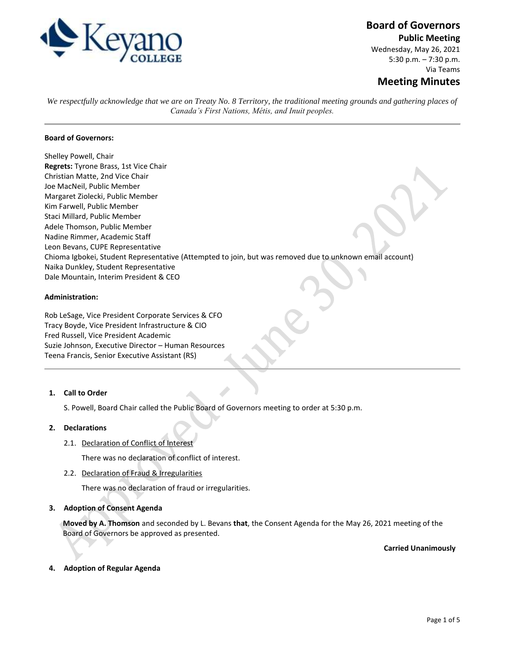

# **Board of Governors**

**Public Meeting**

Wednesday, May 26, 2021 5:30 p.m. – 7:30 p.m. Via Teams

## **Meeting Minutes**

*We respectfully acknowledge that we are on Treaty No. 8 Territory, the traditional meeting grounds and gathering places of Canada's First Nations, Métis, and Inuit peoples.*

## **Board of Governors:**

Shelley Powell, Chair **Regrets:** Tyrone Brass, 1st Vice Chair Christian Matte, 2nd Vice Chair Joe MacNeil, Public Member Margaret Ziolecki, Public Member Kim Farwell, Public Member Staci Millard, Public Member Adele Thomson, Public Member Nadine Rimmer, Academic Staff Leon Bevans, CUPE Representative Chioma Igbokei, Student Representative (Attempted to join, but was removed due to unknown email account) Naika Dunkley, Student Representative Dale Mountain, Interim President & CEO

## **Administration:**

Rob LeSage, Vice President Corporate Services & CFO Tracy Boyde, Vice President Infrastructure & CIO Fred Russell, Vice President Academic Suzie Johnson, Executive Director – Human Resources Teena Francis, Senior Executive Assistant (RS)

## **1. Call to Order**

S. Powell, Board Chair called the Public Board of Governors meeting to order at 5:30 p.m.

## **2. Declarations**

2.1. Declaration of Conflict of Interest

There was no declaration of conflict of interest.

2.2. Declaration of Fraud & Irregularities

There was no declaration of fraud or irregularities.

## **3. Adoption of Consent Agenda**

**Moved by A. Thomson** and seconded by L. Bevans **that**, the Consent Agenda for the May 26, 2021 meeting of the Board of Governors be approved as presented.

**Carried Unanimously**

## **4. Adoption of Regular Agenda**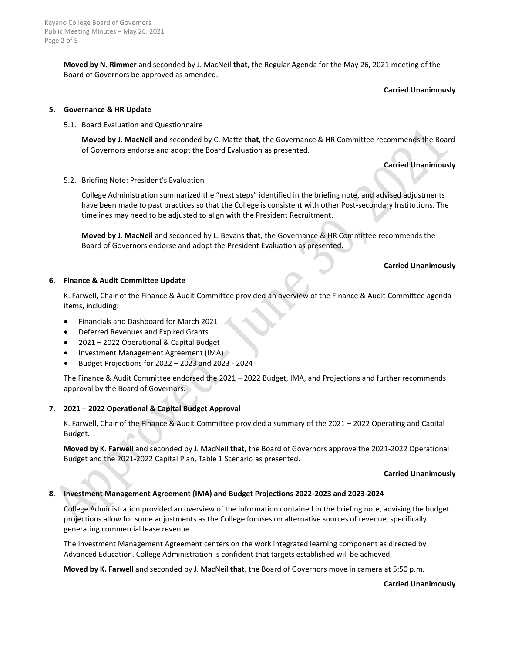**Moved by N. Rimmer** and seconded by J. MacNeil **that**, the Regular Agenda for the May 26, 2021 meeting of the Board of Governors be approved as amended.

#### **Carried Unanimously**

## **5. Governance & HR Update**

## 5.1. Board Evaluation and Questionnaire

**Moved by J. MacNeil and** seconded by C. Matte **that**, the Governance & HR Committee recommends the Board of Governors endorse and adopt the Board Evaluation as presented.

## **Carried Unanimously**

## 5.2. Briefing Note: President's Evaluation

College Administration summarized the "next steps" identified in the briefing note, and advised adjustments have been made to past practices so that the College is consistent with other Post-secondary Institutions. The timelines may need to be adjusted to align with the President Recruitment.

**Moved by J. MacNeil** and seconded by L. Bevans **that**, the Governance & HR Committee recommends the Board of Governors endorse and adopt the President Evaluation as presented.

## **Carried Unanimously**

## **6. Finance & Audit Committee Update**

K. Farwell, Chair of the Finance & Audit Committee provided an overview of the Finance & Audit Committee agenda items, including:

- Financials and Dashboard for March 2021
- Deferred Revenues and Expired Grants
- 2021 2022 Operational & Capital Budget
- Investment Management Agreement (IMA)
- Budget Projections for 2022 2023 and 2023 2024

The Finance & Audit Committee endorsed the 2021 – 2022 Budget, IMA, and Projections and further recommends approval by the Board of Governors.

#### **7. 2021 – 2022 Operational & Capital Budget Approval**

K. Farwell, Chair of the Finance & Audit Committee provided a summary of the 2021 – 2022 Operating and Capital Budget.

**Moved by K. Farwell** and seconded by J. MacNeil **that**, the Board of Governors approve the 2021-2022 Operational Budget and the 2021-2022 Capital Plan, Table 1 Scenario as presented.

#### **Carried Unanimously**

## **8. Investment Management Agreement (IMA) and Budget Projections 2022-2023 and 2023-2024**

College Administration provided an overview of the information contained in the briefing note, advising the budget projections allow for some adjustments as the College focuses on alternative sources of revenue, specifically generating commercial lease revenue.

The Investment Management Agreement centers on the work integrated learning component as directed by Advanced Education. College Administration is confident that targets established will be achieved.

**Moved by K. Farwell** and seconded by J. MacNeil **that**, the Board of Governors move in camera at 5:50 p.m.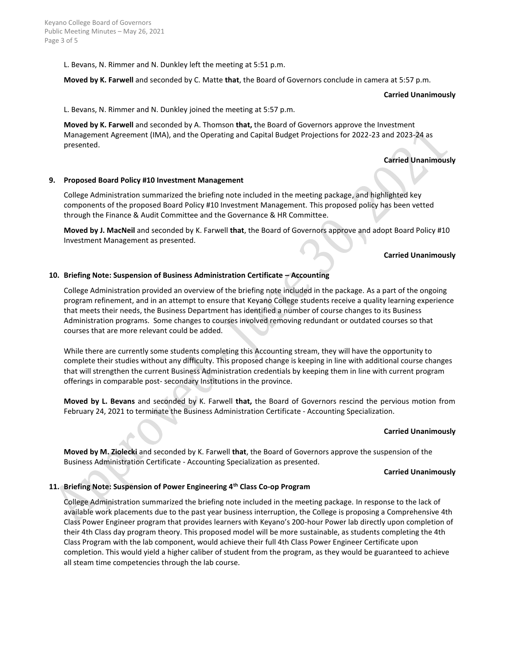L. Bevans, N. Rimmer and N. Dunkley left the meeting at 5:51 p.m.

**Moved by K. Farwell** and seconded by C. Matte **that**, the Board of Governors conclude in camera at 5:57 p.m.

**Carried Unanimously**

L. Bevans, N. Rimmer and N. Dunkley joined the meeting at 5:57 p.m.

**Moved by K. Farwell** and seconded by A. Thomson **that,** the Board of Governors approve the Investment Management Agreement (IMA), and the Operating and Capital Budget Projections for 2022-23 and 2023-24 as presented.

**Carried Unanimously**

## **9. Proposed Board Policy #10 Investment Management**

College Administration summarized the briefing note included in the meeting package, and highlighted key components of the proposed Board Policy #10 Investment Management. This proposed policy has been vetted through the Finance & Audit Committee and the Governance & HR Committee.

**Moved by J. MacNeil** and seconded by K. Farwell **that**, the Board of Governors approve and adopt Board Policy #10 Investment Management as presented.

## **Carried Unanimously**

## **10. Briefing Note: Suspension of Business Administration Certificate – Accounting**

College Administration provided an overview of the briefing note included in the package. As a part of the ongoing program refinement, and in an attempt to ensure that Keyano College students receive a quality learning experience that meets their needs, the Business Department has identified a number of course changes to its Business Administration programs. Some changes to courses involved removing redundant or outdated courses so that courses that are more relevant could be added.

While there are currently some students completing this Accounting stream, they will have the opportunity to complete their studies without any difficulty. This proposed change is keeping in line with additional course changes that will strengthen the current Business Administration credentials by keeping them in line with current program offerings in comparable post- secondary Institutions in the province.

**Moved by L. Bevans** and seconded by K. Farwell **that,** the Board of Governors rescind the pervious motion from February 24, 2021 to terminate the Business Administration Certificate - Accounting Specialization.

## **Carried Unanimously**

**Moved by M. Ziolecki** and seconded by K. Farwell **that**, the Board of Governors approve the suspension of the Business Administration Certificate - Accounting Specialization as presented.

## **Carried Unanimously**

## **11. Briefing Note: Suspension of Power Engineering 4th Class Co-op Program**

College Administration summarized the briefing note included in the meeting package. In response to the lack of available work placements due to the past year business interruption, the College is proposing a Comprehensive 4th Class Power Engineer program that provides learners with Keyano's 200-hour Power lab directly upon completion of their 4th Class day program theory. This proposed model will be more sustainable, as students completing the 4th Class Program with the lab component, would achieve their full 4th Class Power Engineer Certificate upon completion. This would yield a higher caliber of student from the program, as they would be guaranteed to achieve all steam time competencies through the lab course.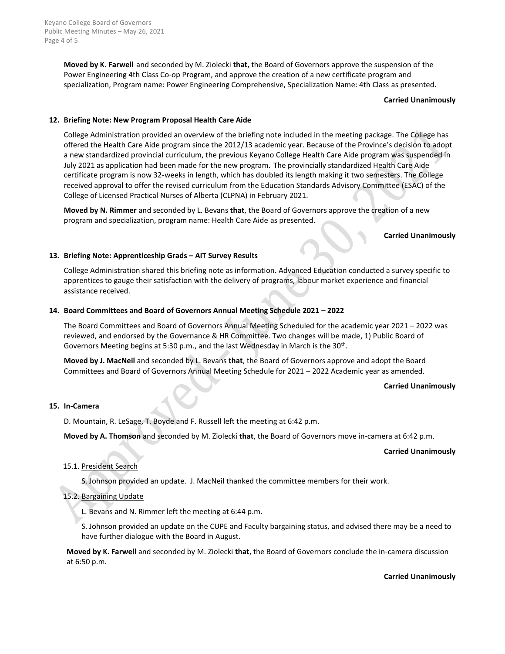Keyano College Board of Governors Public Meeting Minutes – May 26, 2021 Page 4 of 5

> **Moved by K. Farwell** and seconded by M. Ziolecki **that**, the Board of Governors approve the suspension of the Power Engineering 4th Class Co-op Program, and approve the creation of a new certificate program and specialization, Program name: Power Engineering Comprehensive, Specialization Name: 4th Class as presented.

#### **Carried Unanimously**

## **12. Briefing Note: New Program Proposal Health Care Aide**

College Administration provided an overview of the briefing note included in the meeting package. The College has offered the Health Care Aide program since the 2012/13 academic year. Because of the Province's decision to adopt a new standardized provincial curriculum, the previous Keyano College Health Care Aide program was suspended in July 2021 as application had been made for the new program. The provincially standardized Health Care Aide certificate program is now 32-weeks in length, which has doubled its length making it two semesters. The College received approval to offer the revised curriculum from the Education Standards Advisory Committee (ESAC) of the College of Licensed Practical Nurses of Alberta (CLPNA) in February 2021.

**Moved by N. Rimmer** and seconded by L. Bevans **that**, the Board of Governors approve the creation of a new program and specialization, program name: Health Care Aide as presented.

#### **Carried Unanimously**

## **13. Briefing Note: Apprenticeship Grads – AIT Survey Results**

College Administration shared this briefing note as information. Advanced Education conducted a survey specific to apprentices to gauge their satisfaction with the delivery of programs, labour market experience and financial assistance received.

## **14. Board Committees and Board of Governors Annual Meeting Schedule 2021 – 2022**

The Board Committees and Board of Governors Annual Meeting Scheduled for the academic year 2021 – 2022 was reviewed, and endorsed by the Governance & HR Committee. Two changes will be made, 1) Public Board of Governors Meeting begins at 5:30 p.m., and the last Wednesday in March is the 30<sup>th</sup>.

**Moved by J. MacNeil** and seconded by L. Bevans **that**, the Board of Governors approve and adopt the Board Committees and Board of Governors Annual Meeting Schedule for 2021 – 2022 Academic year as amended.

## **Carried Unanimously**

#### **15. In-Camera**

D. Mountain, R. LeSage, T. Boyde and F. Russell left the meeting at 6:42 p.m.

**Moved by A. Thomson** and seconded by M. Ziolecki **that**, the Board of Governors move in-camera at 6:42 p.m.

#### **Carried Unanimously**

## 15.1. President Search

S. Johnson provided an update. J. MacNeil thanked the committee members for their work.

## 15.2. Bargaining Update

L. Bevans and N. Rimmer left the meeting at 6:44 p.m.

S. Johnson provided an update on the CUPE and Faculty bargaining status, and advised there may be a need to have further dialogue with the Board in August.

**Moved by K. Farwell** and seconded by M. Ziolecki **that**, the Board of Governors conclude the in-camera discussion at 6:50 p.m.

**Carried Unanimously**